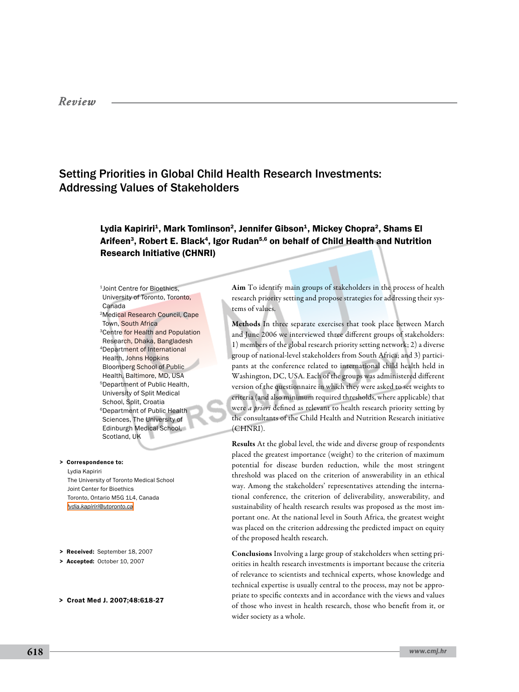## *Review*

# Setting Priorities in Global Child Health Research Investments: Addressing Values of Stakeholders

## Lydia Kapiriri<sup>1</sup>, Mark Tomlinson<sup>2</sup>, Jennifer Gibson<sup>1</sup>, Mickey Chopra<sup>2</sup>, Shams El Arifeen<sup>3</sup>, Robert E. Black<sup>4</sup>, Igor Rudan<sup>5,6</sup> on behalf of Child Health and Nutrition Research Initiative (CHNRI)

1Joint Centre for Bioethics, University of Toronto, Toronto, Canada 2Medical Research Council, Cape Town, South Africa 3Centre for Health and Population Research, Dhaka, Bangladesh 4Department of International Health, Johns Hopkins Bloomberg School of Public Health, Baltimore, MD, USA 5Department of Public Health, University of Split Medical School, Split, Croatia 6Department of Public Health Sciences, The University of Edinburgh Medical School, Scotland, UK

Lydia Kapiriri The University of Toronto Medical School Joint Center for Bioethics Toronto, Ontario M5G 1L4, Canada *[lydia.kapiriri@utoronto.ca](mailto: lydia.kapiriri@utoronto.ca )* > Correspondence to:

- > Received: September 18, 2007
- > Accepted: October 10, 2007
- > Croat Med J. 2007;48:618-27

Aim To identify main groups of stakeholders in the process of health research priority setting and propose strategies for addressing their systems of values.

Methods In three separate exercises that took place between March and June 2006 we interviewed three different groups of stakeholders: 1) members of the global research priority setting network; 2) a diverse group of national-level stakeholders from South Africa; and 3) participants at the conference related to international child health held in Washington, DC, USA. Each of the groups was administered different version of the questionnaire in which they were asked to set weights to criteria (and also minimum required thresholds, where applicable) that were *a priori* defined as relevant to health research priority setting by the consultants of the Child Health and Nutrition Research initiative (CHNRI).

Results At the global level, the wide and diverse group of respondents placed the greatest importance (weight) to the criterion of maximum potential for disease burden reduction, while the most stringent threshold was placed on the criterion of answerability in an ethical way. Among the stakeholders' representatives attending the international conference, the criterion of deliverability, answerability, and sustainability of health research results was proposed as the most important one. At the national level in South Africa, the greatest weight was placed on the criterion addressing the predicted impact on equity of the proposed health research.

Conclusions Involving a large group of stakeholders when setting priorities in health research investments is important because the criteria of relevance to scientists and technical experts, whose knowledge and technical expertise is usually central to the process, may not be appropriate to specific contexts and in accordance with the views and values of those who invest in health research, those who benefit from it, or wider society as a whole.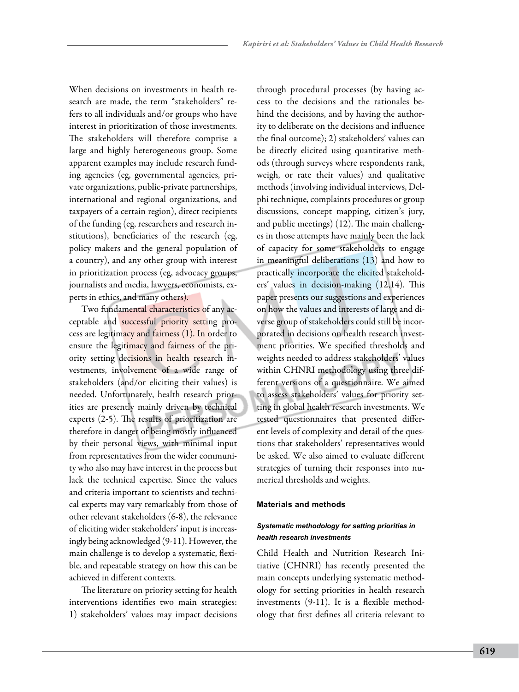When decisions on investments in health research are made, the term "stakeholders" refers to all individuals and/or groups who have interest in prioritization of those investments. The stakeholders will therefore comprise a large and highly heterogeneous group. Some apparent examples may include research funding agencies (eg, governmental agencies, private organizations, public-private partnerships, international and regional organizations, and taxpayers of a certain region), direct recipients of the funding (eg, researchers and research institutions), beneficiaries of the research (eg, policy makers and the general population of a country), and any other group with interest in prioritization process (eg, advocacy groups, journalists and media, lawyers, economists, experts in ethics, and many others).

Two fundamental characteristics of any acceptable and successful priority setting process are legitimacy and fairness (1). In order to ensure the legitimacy and fairness of the priority setting decisions in health research investments, involvement of a wide range of stakeholders (and/or eliciting their values) is needed. Unfortunately, health research priorities are presently mainly driven by technical experts (2-5). The results of prioritization are therefore in danger of being mostly influenced by their personal views, with minimal input from representatives from the wider community who also may have interest in the process but lack the technical expertise. Since the values and criteria important to scientists and technical experts may vary remarkably from those of other relevant stakeholders (6-8), the relevance of eliciting wider stakeholders' input is increasingly being acknowledged (9-11). However, the main challenge is to develop a systematic, flexible, and repeatable strategy on how this can be achieved in different contexts.

The literature on priority setting for health interventions identifies two main strategies: 1) stakeholders' values may impact decisions

through procedural processes (by having access to the decisions and the rationales behind the decisions, and by having the authority to deliberate on the decisions and influence the final outcome); 2) stakeholders' values can be directly elicited using quantitative methods (through surveys where respondents rank, weigh, or rate their values) and qualitative methods (involving individual interviews, Delphi technique, complaints procedures or group discussions, concept mapping, citizen's jury, and public meetings) (12). The main challenges in those attempts have mainly been the lack of capacity for some stakeholders to engage in meaningful deliberations (13) and how to practically incorporate the elicited stakeholders' values in decision-making (12,14). This paper presents our suggestions and experiences on how the values and interests of large and diverse group of stakeholders could still be incorporated in decisions on health research investment priorities. We specified thresholds and weights needed to address stakeholders' values within CHNRI methodology using three different versions of a questionnaire. We aimed to assess stakeholders' values for priority setting in global health research investments. We tested questionnaires that presented different levels of complexity and detail of the questions that stakeholders' representatives would be asked. We also aimed to evaluate different strategies of turning their responses into numerical thresholds and weights.

### **Materials and methods**

## *Systematic methodology for setting priorities in health research investments*

Child Health and Nutrition Research Initiative (CHNRI) has recently presented the main concepts underlying systematic methodology for setting priorities in health research investments (9-11). It is a flexible methodology that first defines all criteria relevant to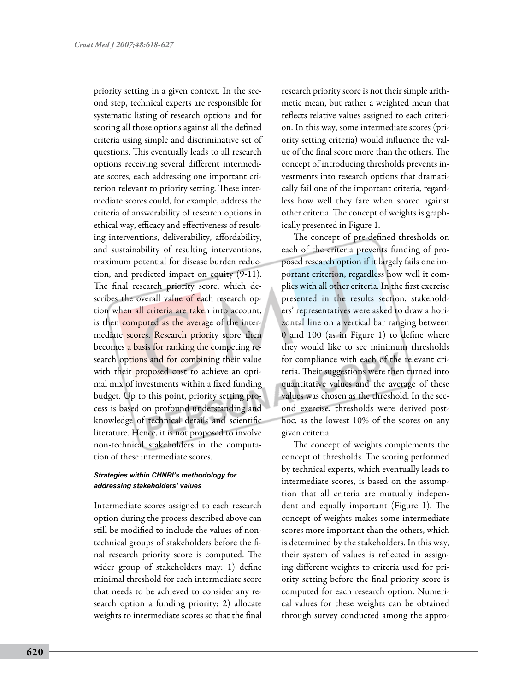priority setting in a given context. In the second step, technical experts are responsible for systematic listing of research options and for scoring all those options against all the defined criteria using simple and discriminative set of questions. This eventually leads to all research options receiving several different intermediate scores, each addressing one important criterion relevant to priority setting. These intermediate scores could, for example, address the criteria of answerability of research options in ethical way, efficacy and effectiveness of resulting interventions, deliverability, affordability, and sustainability of resulting interventions, maximum potential for disease burden reduction, and predicted impact on equity (9-11). The final research priority score, which describes the overall value of each research option when all criteria are taken into account, is then computed as the average of the intermediate scores. Research priority score then becomes a basis for ranking the competing research options and for combining their value with their proposed cost to achieve an optimal mix of investments within a fixed funding budget. Up to this point, priority setting process is based on profound understanding and knowledge of technical details and scientific literature. Hence, it is not proposed to involve non-technical stakeholders in the computation of these intermediate scores.

## *Strategies within CHNRI's methodology for addressing stakeholders' values*

Intermediate scores assigned to each research option during the process described above can still be modified to include the values of nontechnical groups of stakeholders before the final research priority score is computed. The wider group of stakeholders may: 1) define minimal threshold for each intermediate score that needs to be achieved to consider any research option a funding priority; 2) allocate weights to intermediate scores so that the final research priority score is not their simple arithmetic mean, but rather a weighted mean that reflects relative values assigned to each criterion. In this way, some intermediate scores (priority setting criteria) would influence the value of the final score more than the others. The concept of introducing thresholds prevents investments into research options that dramatically fail one of the important criteria, regardless how well they fare when scored against other criteria. The concept of weights is graphically presented in Figure 1.

The concept of pre-defined thresholds on each of the criteria prevents funding of proposed research option if it largely fails one important criterion, regardless how well it complies with all other criteria. In the first exercise presented in the results section, stakeholders' representatives were asked to draw a horizontal line on a vertical bar ranging between 0 and 100 (as in Figure 1) to define where they would like to see minimum thresholds for compliance with each of the relevant criteria. Their suggestions were then turned into quantitative values and the average of these values was chosen as the threshold. In the second exercise, thresholds were derived posthoc, as the lowest 10% of the scores on any given criteria.

The concept of weights complements the concept of thresholds. The scoring performed by technical experts, which eventually leads to intermediate scores, is based on the assumption that all criteria are mutually independent and equally important (Figure 1). The concept of weights makes some intermediate scores more important than the others, which is determined by the stakeholders. In this way, their system of values is reflected in assigning different weights to criteria used for priority setting before the final priority score is computed for each research option. Numerical values for these weights can be obtained through survey conducted among the appro-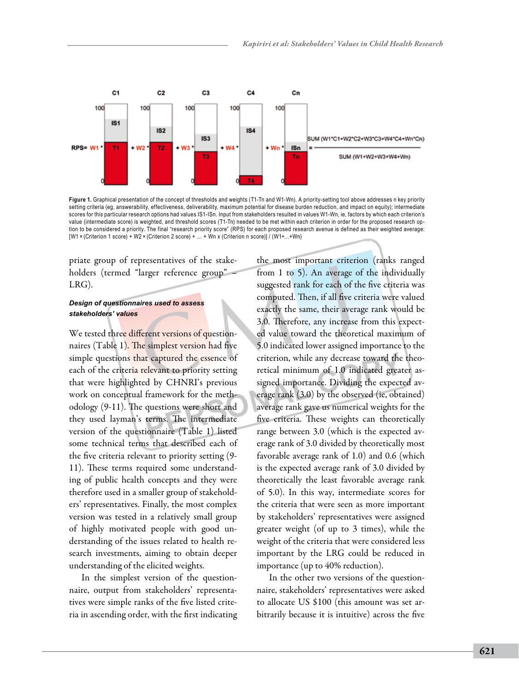

Figure 1. Graphical presentation of the concept of thresholds and weights (T1-Tn and W1-Wn). A priority-setting tool above addresses n key priority setting criteria (eg, answerability, effectiveness, deliverability, maximum potential for disease burden reduction, and impact on equity); intermediate scores for this particular research options had values IS1-ISn. Input from stakeholders resulted in values W1-Wn, ie, factors by which each criterion's value (intermediate score) is weighted, and threshold scores (T1-Tn) needed to be met within each criterion in order for the proposed research option to be considered a priority. The final "research priority score" (RPS) for each proposed research avenue is defined as their weighted average: [W1 × (Criterion 1 score) + W2 × (Criterion 2 score) + … + Wn x (Criterion n score)] / (W1+…+Wn)

priate group of representatives of the stakeholders (termed "larger reference group" – LRG).

### *Design of questionnaires used to assess stakeholders' values*

We tested three different versions of questionnaires (Table 1). The simplest version had five simple questions that captured the essence of each of the criteria relevant to priority setting that were highlighted by CHNRI's previous work on conceptual framework for the methodology (9-11). The questions were short and they used layman's terms. The intermediate version of the questionnaire (Table 1) listed some technical terms that described each of the five criteria relevant to priority setting (9- 11). These terms required some understanding of public health concepts and they were therefore used in a smaller group of stakeholders' representatives. Finally, the most complex version was tested in a relatively small group of highly motivated people with good understanding of the issues related to health research investments, aiming to obtain deeper understanding of the elicited weights.

In the simplest version of the questionnaire, output from stakeholders' representatives were simple ranks of the five listed criteria in ascending order, with the first indicating

the most important criterion (ranks ranged from 1 to 5). An average of the individually suggested rank for each of the five criteria was computed. Then, if all five criteria were valued exactly the same, their average rank would be 3.0. Therefore, any increase from this expected value toward the theoretical maximum of 5.0 indicated lower assigned importance to the criterion, while any decrease toward the theoretical minimum of 1.0 indicated greater assigned importance. Dividing the expected average rank (3.0) by the observed (ie, obtained) average rank gave us numerical weights for the five criteria. These weights can theoretically range between 3.0 (which is the expected average rank of 3.0 divided by theoretically most favorable average rank of 1.0) and 0.6 (which is the expected average rank of 3.0 divided by theoretically the least favorable average rank of 5.0). In this way, intermediate scores for the criteria that were seen as more important by stakeholders' representatives were assigned greater weight (of up to 3 times), while the weight of the criteria that were considered less important by the LRG could be reduced in importance (up to 40% reduction).

In the other two versions of the questionnaire, stakeholders' representatives were asked to allocate US \$100 (this amount was set arbitrarily because it is intuitive) across the five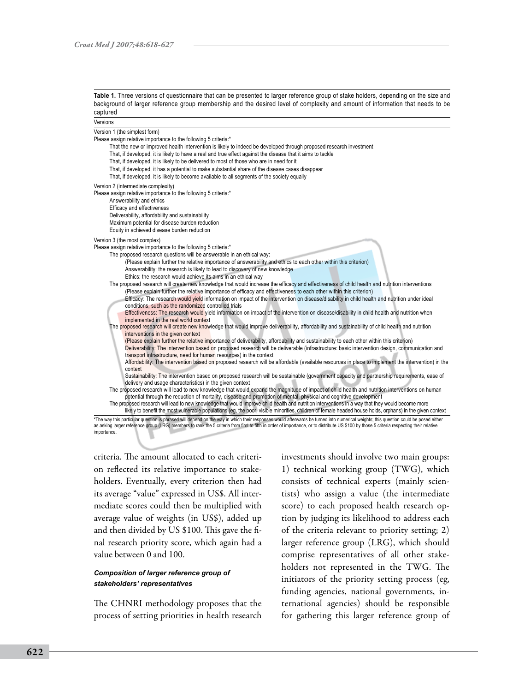**Table 1.** Three versions of questionnaire that can be presented to larger reference group of stake holders, depending on the size and background of larger reference group membership and the desired level of complexity and amount of information that needs to be captured

| Versions                                                                                                                                                                                                                                                                                                                                                                                                                                                                                                                                                                                                                                                                                                                                                                                                                                                                                                                                                                                                                                                                                                                                                                                                                                                                                                                                                                                                                                                                                                                       |  |
|--------------------------------------------------------------------------------------------------------------------------------------------------------------------------------------------------------------------------------------------------------------------------------------------------------------------------------------------------------------------------------------------------------------------------------------------------------------------------------------------------------------------------------------------------------------------------------------------------------------------------------------------------------------------------------------------------------------------------------------------------------------------------------------------------------------------------------------------------------------------------------------------------------------------------------------------------------------------------------------------------------------------------------------------------------------------------------------------------------------------------------------------------------------------------------------------------------------------------------------------------------------------------------------------------------------------------------------------------------------------------------------------------------------------------------------------------------------------------------------------------------------------------------|--|
| Version 1 (the simplest form)<br>Please assign relative importance to the following 5 criteria:*<br>That the new or improved health intervention is likely to indeed be developed through proposed research investment<br>That, if developed, it is likely to have a real and true effect against the disease that it aims to tackle<br>That, if developed, it is likely to be delivered to most of those who are in need for it<br>That, if developed, it has a potential to make substantial share of the disease cases disappear<br>That, if developed, it is likely to become available to all segments of the society equally                                                                                                                                                                                                                                                                                                                                                                                                                                                                                                                                                                                                                                                                                                                                                                                                                                                                                             |  |
| Version 2 (intermediate complexity)<br>Please assign relative importance to the following 5 criteria:*<br>Answerability and ethics<br>Efficacy and effectiveness<br>Deliverability, affordability and sustainability<br>Maximum potential for disease burden reduction<br>Equity in achieved disease burden reduction                                                                                                                                                                                                                                                                                                                                                                                                                                                                                                                                                                                                                                                                                                                                                                                                                                                                                                                                                                                                                                                                                                                                                                                                          |  |
| Version 3 (the most complex)<br>Please assign relative importance to the following 5 criteria:*<br>The proposed research questions will be answerable in an ethical way:<br>(Please explain further the relative importance of answerability and ethics to each other within this criterion)<br>Answerability: the research is likely to lead to discovery of new knowledge<br>Ethics: the research would achieve its aims in an ethical way<br>The proposed research will create new knowledge that would increase the efficacy and effectiveness of child health and nutrition interventions<br>(Please explain further the relative importance of efficacy and effectiveness to each other within this criterion)<br>Efficacy: The research would yield information on impact of the intervention on disease/disability in child health and nutrition under ideal<br>conditions, such as the randomized controlled trials<br>Effectiveness: The research would yield information on impact of the intervention on disease/disability in child health and nutrition when<br>implemented in the real world context                                                                                                                                                                                                                                                                                                                                                                                                            |  |
| The proposed research will create new knowledge that would improve deliverability, affordability and sustainability of child health and nutrition<br>interventions in the given context<br>(Please explain further the relative importance of deliverability, affordability and sustainability to each other within this criterion)<br>Deliverability: The intervention based on proposed research will be deliverable (infrastructure: basic intervention design, communication and<br>transport infrastructure, need for human resources) in the context<br>Affordability: The intervention based on proposed research will be affordable (available resources in place to implement the intervention) in the<br>context<br>Sustainability: The intervention based on proposed research will be sustainable (government capacity and partnership requirements, ease of<br>delivery and usage characteristics) in the given context<br>The proposed research will lead to new knowledge that would expand the magnitude of impact of child health and nutrition interventions on human<br>potential through the reduction of mortality, disease and promotion of mental, physical and cognitive development<br>The proposed research will lead to new knowledge that would improve child health and nutrition interventions in a way that they would become more<br>likely to benefit the most vulnerable populations (eq. the poor, visible minorities, children of female headed house holds, orphans) in the given context |  |

\*The way this particular question is phrased will depend on the way in which their responses would afterwards be turned into numerical weights; this question could be posed either as asking larger reference group (LRG) members to rank the 5 criteria from first to fifth in order of importance, or to distribute US \$100 by those 5 criteria respecting their relative importance.

criteria. The amount allocated to each criterion reflected its relative importance to stakeholders. Eventually, every criterion then had its average "value" expressed in US\$. All intermediate scores could then be multiplied with average value of weights (in US\$), added up and then divided by US \$100. This gave the final research priority score, which again had a value between 0 and 100.

## *Composition of larger reference group of stakeholders' representatives*

The CHNRI methodology proposes that the process of setting priorities in health research investments should involve two main groups: 1) technical working group (TWG), which consists of technical experts (mainly scientists) who assign a value (the intermediate score) to each proposed health research option by judging its likelihood to address each of the criteria relevant to priority setting; 2) larger reference group (LRG), which should comprise representatives of all other stakeholders not represented in the TWG. The initiators of the priority setting process (eg, funding agencies, national governments, international agencies) should be responsible for gathering this larger reference group of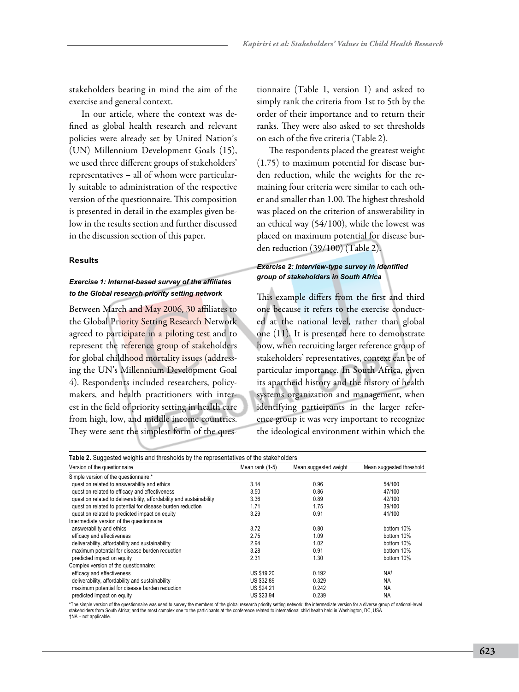stakeholders bearing in mind the aim of the exercise and general context.

In our article, where the context was defined as global health research and relevant policies were already set by United Nation's (UN) Millennium Development Goals (15), we used three different groups of stakeholders' representatives – all of whom were particularly suitable to administration of the respective version of the questionnaire. This composition is presented in detail in the examples given below in the results section and further discussed in the discussion section of this paper.

#### **Results**

## *Exercise 1: Internet-based survey of the affiliates to the Global research priority setting network*

Between March and May 2006, 30 affiliates to the Global Priority Setting Research Network agreed to participate in a piloting test and to represent the reference group of stakeholders for global childhood mortality issues (addressing the UN's Millennium Development Goal 4). Respondents included researchers, policymakers, and health practitioners with interest in the field of priority setting in health care from high, low, and middle income countries. They were sent the simplest form of the ques-

tionnaire (Table 1, version 1) and asked to simply rank the criteria from 1st to 5th by the order of their importance and to return their ranks. They were also asked to set thresholds on each of the five criteria (Table 2).

The respondents placed the greatest weight (1.75) to maximum potential for disease burden reduction, while the weights for the remaining four criteria were similar to each other and smaller than 1.00. The highest threshold was placed on the criterion of answerability in an ethical way (54/100), while the lowest was placed on maximum potential for disease burden reduction (39/100) (Table 2).

## *Exercise 2: Interview-type survey in identified group of stakeholders in South Africa*

This example differs from the first and third one because it refers to the exercise conducted at the national level, rather than global one (11). It is presented here to demonstrate how, when recruiting larger reference group of stakeholders' representatives, context can be of particular importance. In South Africa, given its apartheid history and the history of health systems organization and management, when identifying participants in the larger reference group it was very important to recognize the ideological environment within which the

| Table 2. Suggested weights and thresholds by the representatives of the stakeholders<br>Version of the questionnaire | Mean rank (1-5)   | Mean suggested weight | Mean suggested threshold |
|----------------------------------------------------------------------------------------------------------------------|-------------------|-----------------------|--------------------------|
|                                                                                                                      |                   |                       |                          |
| Simple version of the questionnaire:*                                                                                |                   |                       |                          |
| question related to answerability and ethics                                                                         | 3.14              | 0.96                  | 54/100                   |
| question related to efficacy and effectiveness                                                                       | 3.50              | 0.86                  | 47/100                   |
| question related to deliverability, affordability and sustainability                                                 | 3.36              | 0.89                  | 42/100                   |
| question related to potential for disease burden reduction                                                           | 1.71              | 1.75                  | 39/100                   |
| question related to predicted impact on equity                                                                       | 3.29              | 0.91                  | 41/100                   |
| Intermediate version of the questionnaire:                                                                           |                   |                       |                          |
| answerability and ethics                                                                                             | 3.72              | 0.80                  | bottom 10%               |
| efficacy and effectiveness                                                                                           | 2.75              | 1.09                  | bottom 10%               |
| deliverability, affordability and sustainability                                                                     | 2.94              | 1.02                  | bottom 10%               |
| maximum potential for disease burden reduction                                                                       | 3.28              | 0.91                  | bottom 10%               |
| predicted impact on equity                                                                                           | 2.31              | 1.30                  | bottom 10%               |
| Complex version of the questionnaire:                                                                                |                   |                       |                          |
| efficacy and effectiveness                                                                                           | <b>US \$19.20</b> | 0.192                 | NA <sup>t</sup>          |
| deliverability, affordability and sustainability                                                                     | <b>US \$32.89</b> | 0.329                 | <b>NA</b>                |
| maximum potential for disease burden reduction                                                                       | US \$24.21        | 0.242                 | <b>NA</b>                |
| predicted impact on equity                                                                                           | US \$23.94        | 0.239                 | <b>NA</b>                |

\*The simple version of the questionnaire was used to survey the members of the global research priority setting network; the intermediate version for a diverse group of national-level stakeholders from South Africa; and the most complex one to the participants at the conference related to international child health held in Washington, DC, USA †NA – not applicable.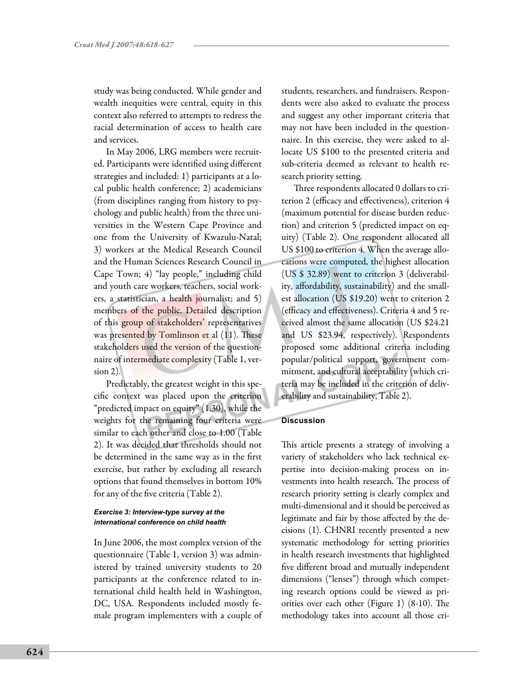study was being conducted. While gender and wealth inequities were central, equity in this context also referred to attempts to redress the racial determination of access to health care and services.

In May 2006, LRG members were recruited. Participants were identified using different strategies and included: 1) participants at a local public health conference; 2) academicians (from disciplines ranging from history to psychology and public health) from the three universities in the Western Cape Province and one from the University of Kwazulu-Natal; 3) workers at the Medical Research Council and the Human Sciences Research Council in Cape Town; 4) "lay people," including child and youth care workers, teachers, social workers, a statistician, a health journalist; and 5) members of the public. Detailed description of this group of stakeholders' representatives was presented by Tomlinson et al (11). These stakeholders used the version of the questionnaire of intermediate complexity (Table 1, version 2).

Predictably, the greatest weight in this specific context was placed upon the criterion "predicted impact on equity" (1.30), while the weights for the remaining four criteria were similar to each other and close to 1.00 (Table 2). It was decided that thresholds should not be determined in the same way as in the first exercise, but rather by excluding all research options that found themselves in bottom 10% for any of the five criteria (Table 2).

## *Exercise 3: Interview-type survey at the international conference on child health*

In June 2006, the most complex version of the questionnaire (Table 1, version 3) was administered by trained university students to 20 participants at the conference related to international child health held in Washington, DC, USA. Respondents included mostly female program implementers with a couple of students, researchers, and fundraisers. Respondents were also asked to evaluate the process and suggest any other important criteria that may not have been included in the questionnaire. In this exercise, they were asked to allocate US \$100 to the presented criteria and sub-criteria deemed as relevant to health research priority setting.

Three respondents allocated 0 dollars to criterion 2 (efficacy and effectiveness), criterion 4 (maximum potential for disease burden reduction) and criterion 5 (predicted impact on equity) (Table 2). One respondent allocated all US \$100 to criterion 4. When the average allocations were computed, the highest allocation (US \$ 32.89) went to criterion 3 (deliverability, affordability, sustainability) and the smallest allocation (US \$19.20) went to criterion 2 (efficacy and effectiveness). Criteria 4 and 5 received almost the same allocation (US \$24.21 and US \$23.94, respectively). Respondents proposed some additional criteria including popular/political support, government commitment, and cultural acceptability (which criteria may be included in the criterion of deliverability and sustainability, Table 2).

## **Discussion**

This article presents a strategy of involving a variety of stakeholders who lack technical expertise into decision-making process on investments into health research. The process of research priority setting is clearly complex and multi-dimensional and it should be perceived as legitimate and fair by those affected by the decisions (1). CHNRI recently presented a new systematic methodology for setting priorities in health research investments that highlighted five different broad and mutually independent dimensions ("lenses") through which competing research options could be viewed as priorities over each other (Figure 1) (8-10). The methodology takes into account all those cri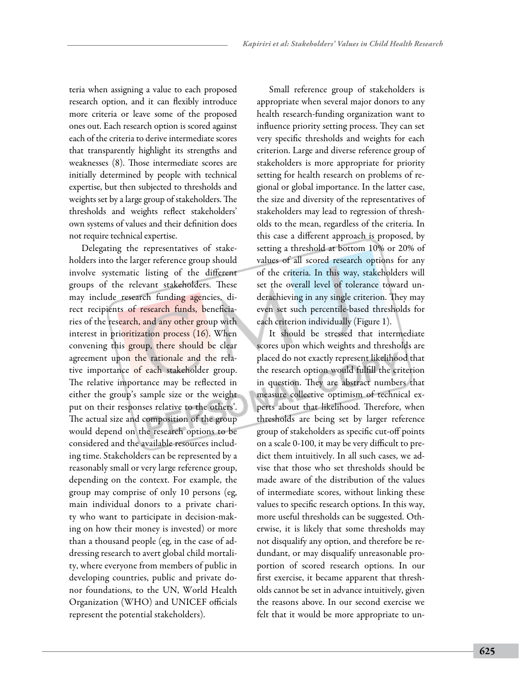teria when assigning a value to each proposed research option, and it can flexibly introduce more criteria or leave some of the proposed ones out. Each research option is scored against each of the criteria to derive intermediate scores that transparently highlight its strengths and weaknesses (8). Those intermediate scores are initially determined by people with technical expertise, but then subjected to thresholds and weights set by a large group of stakeholders. The thresholds and weights reflect stakeholders' own systems of values and their definition does not require technical expertise.

Delegating the representatives of stakeholders into the larger reference group should involve systematic listing of the different groups of the relevant stakeholders. These may include research funding agencies, direct recipients of research funds, beneficiaries of the research, and any other group with interest in prioritization process (16). When convening this group, there should be clear agreement upon the rationale and the relative importance of each stakeholder group. The relative importance may be reflected in either the group's sample size or the weight put on their responses relative to the others'. The actual size and composition of the group would depend on the research options to be considered and the available resources including time. Stakeholders can be represented by a reasonably small or very large reference group, depending on the context. For example, the group may comprise of only 10 persons (eg, main individual donors to a private charity who want to participate in decision-making on how their money is invested) or more than a thousand people (eg, in the case of addressing research to avert global child mortality, where everyone from members of public in developing countries, public and private donor foundations, to the UN, World Health Organization (WHO) and UNICEF officials represent the potential stakeholders).

Small reference group of stakeholders is appropriate when several major donors to any health research-funding organization want to influence priority setting process. They can set very specific thresholds and weights for each criterion. Large and diverse reference group of stakeholders is more appropriate for priority setting for health research on problems of regional or global importance. In the latter case, the size and diversity of the representatives of stakeholders may lead to regression of thresholds to the mean, regardless of the criteria. In this case a different approach is proposed, by setting a threshold at bottom 10% or 20% of values of all scored research options for any of the criteria. In this way, stakeholders will set the overall level of tolerance toward underachieving in any single criterion. They may even set such percentile-based thresholds for each criterion individually (Figure 1).

It should be stressed that intermediate scores upon which weights and thresholds are placed do not exactly represent likelihood that the research option would fulfill the criterion in question. They are abstract numbers that measure collective optimism of technical experts about that likelihood. Therefore, when thresholds are being set by larger reference group of stakeholders as specific cut-off points on a scale 0-100, it may be very difficult to predict them intuitively. In all such cases, we advise that those who set thresholds should be made aware of the distribution of the values of intermediate scores, without linking these values to specific research options. In this way, more useful thresholds can be suggested. Otherwise, it is likely that some thresholds may not disqualify any option, and therefore be redundant, or may disqualify unreasonable proportion of scored research options. In our first exercise, it became apparent that thresholds cannot be set in advance intuitively, given the reasons above. In our second exercise we felt that it would be more appropriate to un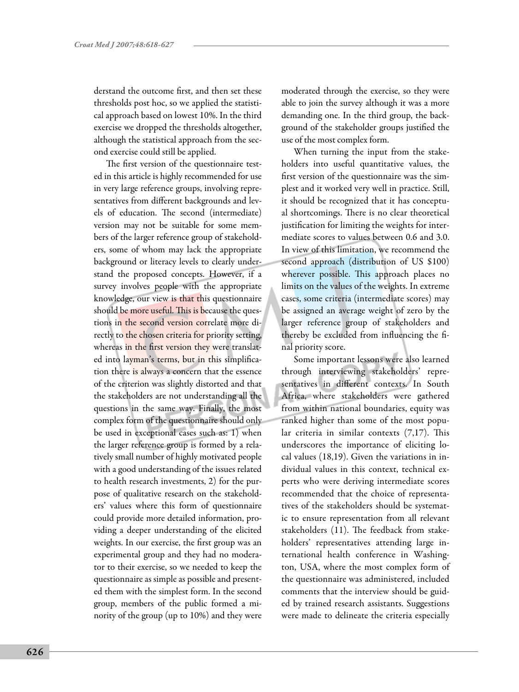derstand the outcome first, and then set these thresholds post hoc, so we applied the statistical approach based on lowest 10%. In the third exercise we dropped the thresholds altogether, although the statistical approach from the second exercise could still be applied.

The first version of the questionnaire tested in this article is highly recommended for use in very large reference groups, involving representatives from different backgrounds and levels of education. The second (intermediate) version may not be suitable for some members of the larger reference group of stakeholders, some of whom may lack the appropriate background or literacy levels to clearly understand the proposed concepts. However, if a survey involves people with the appropriate knowledge, our view is that this questionnaire should be more useful. This is because the questions in the second version correlate more directly to the chosen criteria for priority setting, whereas in the first version they were translated into layman's terms, but in this simplification there is always a concern that the essence of the criterion was slightly distorted and that the stakeholders are not understanding all the questions in the same way. Finally, the most complex form of the questionnaire should only be used in exceptional cases such as: 1) when the larger reference group is formed by a relatively small number of highly motivated people with a good understanding of the issues related to health research investments, 2) for the purpose of qualitative research on the stakeholders' values where this form of questionnaire could provide more detailed information, providing a deeper understanding of the elicited weights. In our exercise, the first group was an experimental group and they had no moderator to their exercise, so we needed to keep the questionnaire as simple as possible and presented them with the simplest form. In the second group, members of the public formed a minority of the group (up to 10%) and they were

moderated through the exercise, so they were able to join the survey although it was a more demanding one. In the third group, the background of the stakeholder groups justified the use of the most complex form.

When turning the input from the stakeholders into useful quantitative values, the first version of the questionnaire was the simplest and it worked very well in practice. Still, it should be recognized that it has conceptual shortcomings. There is no clear theoretical justification for limiting the weights for intermediate scores to values between 0.6 and 3.0. In view of this limitation, we recommend the second approach (distribution of US \$100) wherever possible. This approach places no limits on the values of the weights. In extreme cases, some criteria (intermediate scores) may be assigned an average weight of zero by the larger reference group of stakeholders and thereby be excluded from influencing the final priority score.

Some important lessons were also learned through interviewing stakeholders' representatives in different contexts. In South Africa, where stakeholders were gathered from within national boundaries, equity was ranked higher than some of the most popular criteria in similar contexts (7,17). This underscores the importance of eliciting local values (18,19). Given the variations in individual values in this context, technical experts who were deriving intermediate scores recommended that the choice of representatives of the stakeholders should be systematic to ensure representation from all relevant stakeholders (11). The feedback from stakeholders' representatives attending large international health conference in Washington, USA, where the most complex form of the questionnaire was administered, included comments that the interview should be guided by trained research assistants. Suggestions were made to delineate the criteria especially